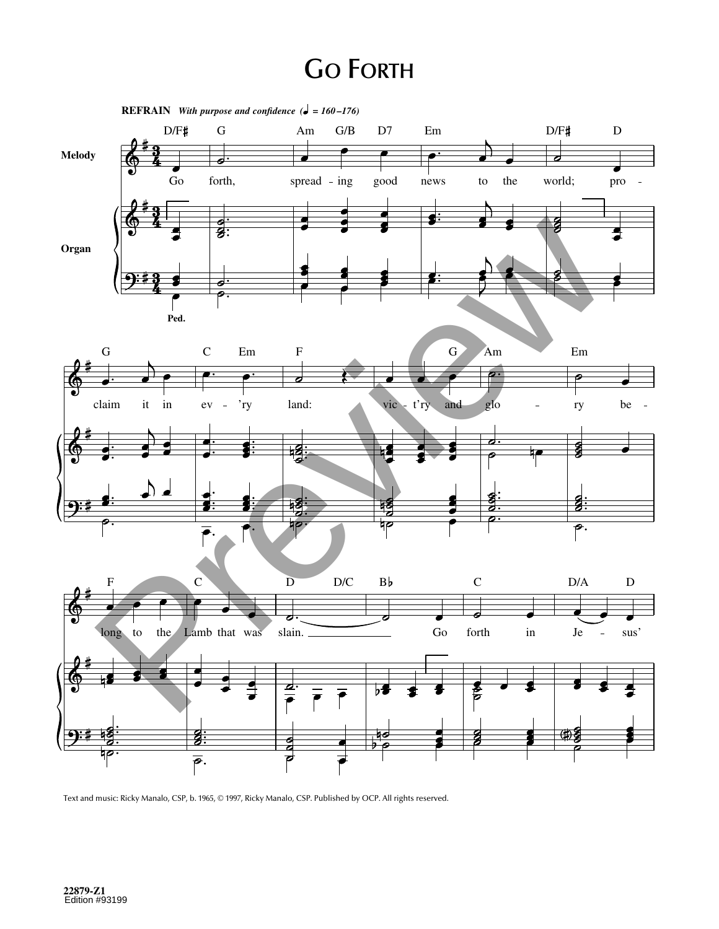## **GO FORTH**



Text and music: Ricky Manalo, CSP, b. 1965, © 1997, Ricky Manalo, CSP. Published by OCP. All rights reserved.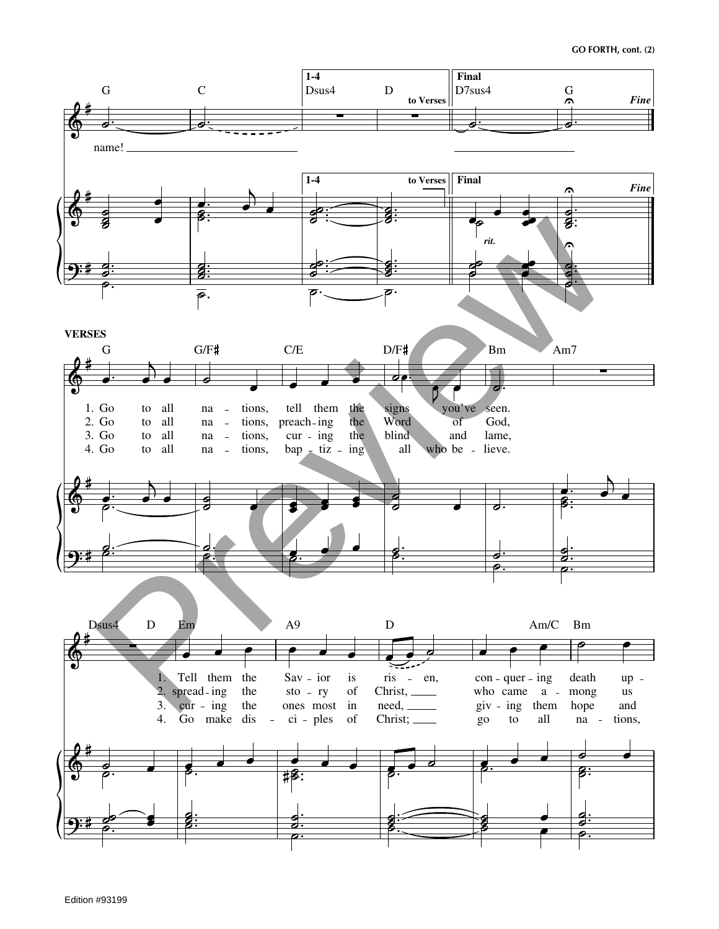